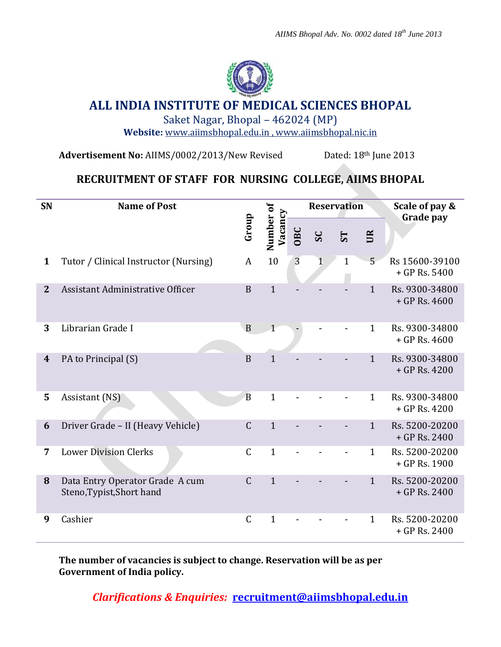

## **ALL INDIA INSTITUTE OF MEDICAL SCIENCES BHOPAL**

Saket Nagar, Bhopal – 462024 (MP)

**Website:** [www.aiimsbhopal.edu.in](http://www.aiimsbhopal.edu.in/) ,<www.aiimsbhopal.nic.in>

**Advertisement No:** AIIMS/0002/2013/New Revised Dated: 18th June 2013

## **RECRUITMENT OF STAFF FOR NURSING COLLEGE, AIIMS BHOPAL**

| SN               | <b>Name of Post</b>                                          |                |                      |                | <b>Reservation</b> |              |              | Scale of pay &<br>Grade pay       |
|------------------|--------------------------------------------------------------|----------------|----------------------|----------------|--------------------|--------------|--------------|-----------------------------------|
|                  |                                                              | Group          | Number of<br>Vacancy | OBC            | SC                 | <b>ST</b>    | UR           |                                   |
| $\mathbf{1}$     | Tutor / Clinical Instructor (Nursing)                        | A              | 10                   | $\overline{3}$ | $\mathbf 1$        | $\mathbf{1}$ | 5            | Rs 15600-39100<br>$+$ GP Rs. 5400 |
| $\mathbf{2}$     | Assistant Administrative Officer                             | B              | $\mathbf{1}$         |                |                    |              | $\mathbf{1}$ | Rs. 9300-34800<br>$+$ GP Rs. 4600 |
| 3                | Librarian Grade I                                            | $\mathbf B$    | $\mathbf{1}$         |                |                    |              | $\mathbf{1}$ | Rs. 9300-34800<br>$+$ GP Rs. 4600 |
| $\boldsymbol{4}$ | PA to Principal (S)                                          | B              | $\mathbf{1}$         |                |                    |              | $\mathbf{1}$ | Rs. 9300-34800<br>$+$ GP Rs. 4200 |
| 5                | Assistant (NS)                                               | $\overline{B}$ | $\mathbf{1}$         |                |                    |              | $\mathbf{1}$ | Rs. 9300-34800<br>$+$ GP Rs. 4200 |
| 6                | Driver Grade - II (Heavy Vehicle)                            | $\mathsf C$    | $\mathbf{1}$         |                |                    |              | $\mathbf{1}$ | Rs. 5200-20200<br>$+$ GP Rs. 2400 |
| 7                | <b>Lower Division Clerks</b>                                 | $\mathsf C$    | $\mathbf{1}$         |                |                    |              | $\mathbf{1}$ | Rs. 5200-20200<br>+ GP Rs. 1900   |
| 8                | Data Entry Operator Grade A cum<br>Steno, Typist, Short hand | $\mathsf C$    | $\mathbf{1}$         |                |                    |              | $\mathbf{1}$ | Rs. 5200-20200<br>$+$ GP Rs. 2400 |
| 9                | Cashier                                                      | $\mathsf C$    | $\mathbf{1}$         |                |                    |              | $\mathbf{1}$ | Rs. 5200-20200<br>$+$ GP Rs. 2400 |

**The number of vacancies is subject to change. Reservation will be as per Government of India policy.**

*Clarifications & Enquiries:* **recruitment@aiimsbhopal.edu.in**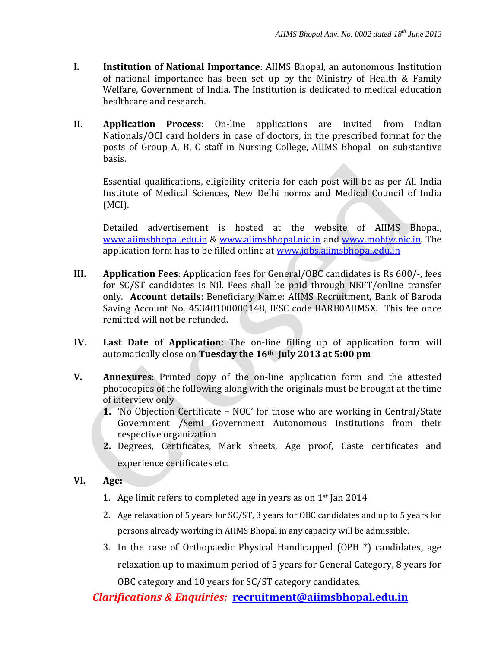- **I. Institution of National Importance**: AIIMS Bhopal, an autonomous Institution of national importance has been set up by the Ministry of Health & Family Welfare, Government of India. The Institution is dedicated to medical education healthcare and research.
- **II. Application Process**: On-line applications are invited from Indian Nationals/OCI card holders in case of doctors, in the prescribed format for the posts of Group A, B, C staff in Nursing College, AIIMS Bhopal on substantive basis.

Essential qualifications, eligibility criteria for each post will be as per All India Institute of Medical Sciences, New Delhi norms and Medical Council of India (MCI).

Detailed advertisement is hosted at the website of AIIMS Bhopal, [www.aiimsbhopal.edu.in](http://www.aiimsbhopal.edu.in/) & [www.aiimsbhopal.nic.in](http://www.aiimsbhopal.nic.in/) and [www.mohfw.nic.in.](http://www.mohfw.nic.in/) The application form has to be filled online at [www.jobs.aiimsbhopal.edu.in](http://www.jobs.aiimsbhopal.edu.in/)

- **III. Application Fees**: Application fees for General/OBC candidates is Rs 600/-, fees for SC/ST candidates is Nil. Fees shall be paid through NEFT/online transfer only. **Account details**: Beneficiary Name: AIIMS Recruitment, Bank of Baroda Saving Account No. 45340100000148, IFSC code BARB0AIIMSX. This fee once remitted will not be refunded.
- **IV. Last Date of Application**: The on-line filling up of application form will automatically close on **Tuesday the 16th July 2013 at 5:00 pm**
- **V. Annexures**: Printed copy of the on-line application form and the attested photocopies of the following along with the originals must be brought at the time of interview only
	- **1.** 'No Objection Certificate NOC' for those who are working in Central/State Government /Semi Government Autonomous Institutions from their respective organization
	- **2.** Degrees, Certificates, Mark sheets, Age proof, Caste certificates and experience certificates etc.
- **VI. Age:**
	- 1. Age limit refers to completed age in years as on  $1<sup>st</sup>$  Jan 2014
	- 2. Age relaxation of 5 years for SC/ST, 3 years for OBC candidates and up to 5 years for persons already working in AIIMS Bhopal in any capacity will be admissible.
	- 3. In the case of Orthopaedic Physical Handicapped (OPH \*) candidates, age relaxation up to maximum period of 5 years for General Category, 8 years for OBC category and 10 years for SC/ST category candidates.

*Clarifications & Enquiries:* **recruitment@aiimsbhopal.edu.in**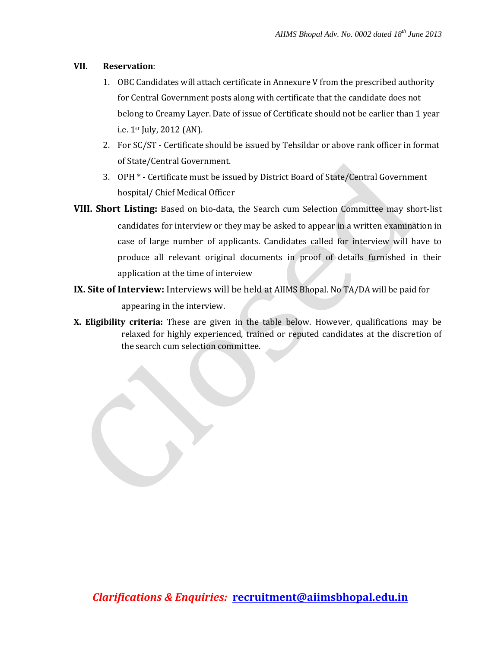## **VII. Reservation**:

- 1. OBC Candidates will attach certificate in Annexure V from the prescribed authority for Central Government posts along with certificate that the candidate does not belong to Creamy Layer. Date of issue of Certificate should not be earlier than 1 year i.e. 1st July, 2012 (AN).
- 2. For SC/ST Certificate should be issued by Tehsildar or above rank officer in format of State/Central Government.
- 3. OPH \* Certificate must be issued by District Board of State/Central Government hospital/ Chief Medical Officer
- **VIII. Short Listing:** Based on bio-data, the Search cum Selection Committee may short-list candidates for interview or they may be asked to appear in a written examination in case of large number of applicants. Candidates called for interview will have to produce all relevant original documents in proof of details furnished in their application at the time of interview
- **IX. Site of Interview:** Interviews will be held at AIIMS Bhopal. No TA/DA will be paid for appearing in the interview.
- **X. Eligibility criteria:** These are given in the table below. However, qualifications may be relaxed for highly experienced, trained or reputed candidates at the discretion of the search cum selection committee.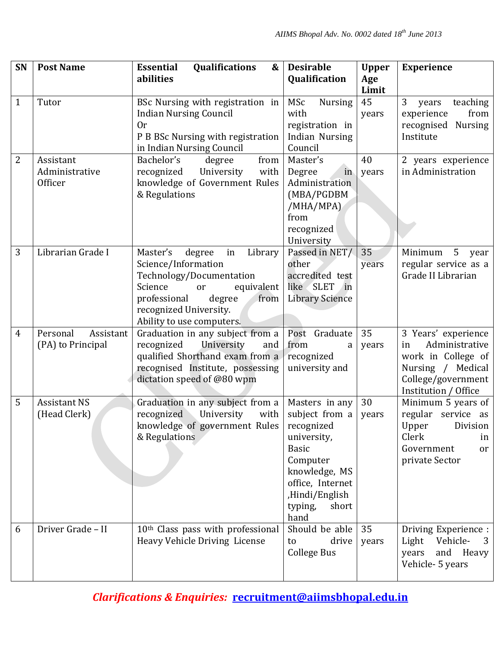| SN             | <b>Post Name</b>                           | <b>Qualifications</b><br><b>Essential</b><br>&<br>abilities                                                                                                                                                    | <b>Desirable</b><br>Qualification                                                                                                                              | <b>Upper</b><br>Age | <b>Experience</b>                                                                                                                    |
|----------------|--------------------------------------------|----------------------------------------------------------------------------------------------------------------------------------------------------------------------------------------------------------------|----------------------------------------------------------------------------------------------------------------------------------------------------------------|---------------------|--------------------------------------------------------------------------------------------------------------------------------------|
|                |                                            |                                                                                                                                                                                                                |                                                                                                                                                                | Limit               |                                                                                                                                      |
| $\mathbf{1}$   | Tutor                                      | BSc Nursing with registration in<br><b>Indian Nursing Council</b><br>0r<br>P B BSc Nursing with registration<br>in Indian Nursing Council                                                                      | MSc<br><b>Nursing</b><br>with<br>registration in<br><b>Indian Nursing</b><br>Council                                                                           | 45<br>years         | 3<br>teaching<br>years<br>from<br>experience<br><b>Nursing</b><br>recognised<br>Institute                                            |
| $\overline{2}$ | Assistant<br>Administrative<br>Officer     | degree<br>from<br>Bachelor's<br>University<br>recognized<br>with<br>knowledge of Government Rules<br>& Regulations                                                                                             | Master's<br>Degree<br>in<br>Administration<br>(MBA/PGDBM<br>/MHA/MPA)<br>from<br>recognized<br>University                                                      | 40<br>years         | 2 years experience<br>in Administration                                                                                              |
| 3              | Librarian Grade I                          | Master's<br>degree<br>Library<br>in<br>Science/Information<br>Technology/Documentation<br>Science<br>equivalent<br>or<br>professional<br>degree<br>from<br>recognized University.<br>Ability to use computers. | Passed in NET/<br>other<br>accredited test<br>like SLET<br>$\ln$<br><b>Library Science</b>                                                                     | 35<br>years         | Minimum<br>5<br>year<br>regular service as a<br>Grade II Librarian                                                                   |
| 4              | Assistant<br>Personal<br>(PA) to Principal | Graduation in any subject from a<br>University<br>recognized<br>and<br>qualified Shorthand exam from a<br>recognised Institute, possessing<br>dictation speed of @80 wpm                                       | Post Graduate<br>from<br>a<br>recognized<br>university and                                                                                                     | 35<br>years         | 3 Years' experience<br>Administrative<br>in<br>work in College of<br>Nursing / Medical<br>College/government<br>Institution / Office |
| 5              | <b>Assistant NS</b><br>(Head Clerk)        | Graduation in any subject from a<br>University<br>with<br>recognized<br>knowledge of government Rules   recognized<br>& Regulations                                                                            | Masters in any<br>subject from a<br>university,<br><b>Basic</b><br>Computer<br>knowledge, MS<br>office, Internet<br>,Hindi/English<br>typing,<br>short<br>hand | 30<br>years         | Minimum 5 years of<br>regular service as<br>Upper<br><b>Division</b><br>Clerk<br>in<br>Government<br>or<br>private Sector            |
| 6              | Driver Grade - II                          | 10th Class pass with professional<br>Heavy Vehicle Driving License                                                                                                                                             | Should be able<br>drive<br>to<br><b>College Bus</b>                                                                                                            | 35<br>years         | Driving Experience :<br>Vehicle-<br>Light<br>3<br>and Heavy<br>years<br>Vehicle- 5 years                                             |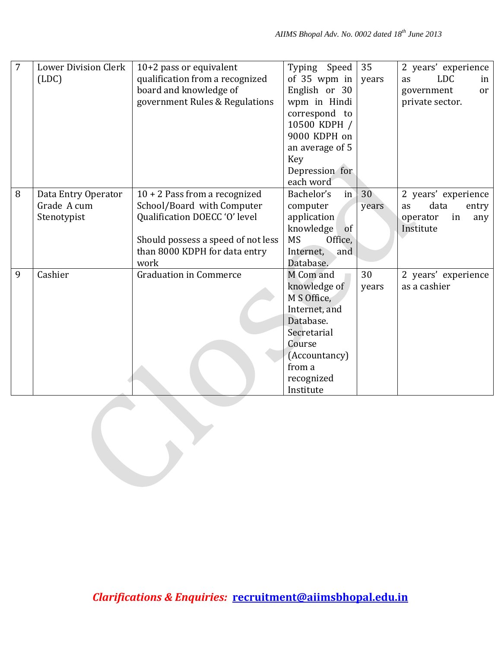| 7 | <b>Lower Division Clerk</b><br>(LDC)              | $10+2$ pass or equivalent<br>qualification from a recognized<br>board and knowledge of<br>government Rules & Regulations                                                      | Typing Speed<br>of 35 wpm in<br>English or 30<br>wpm in Hindi<br>correspond to<br>10500 KDPH /<br>9000 KDPH on<br>an average of 5                     | 35<br>years | 2 years' experience<br><b>LDC</b><br>as<br>in<br>or<br>government<br>private sector. |
|---|---------------------------------------------------|-------------------------------------------------------------------------------------------------------------------------------------------------------------------------------|-------------------------------------------------------------------------------------------------------------------------------------------------------|-------------|--------------------------------------------------------------------------------------|
|   |                                                   |                                                                                                                                                                               | Key<br>Depression for<br>each word                                                                                                                    |             |                                                                                      |
| 8 | Data Entry Operator<br>Grade A cum<br>Stenotypist | $10 + 2$ Pass from a recognized<br>School/Board with Computer<br>Qualification DOECC 'O' level<br>Should possess a speed of not less<br>than 8000 KDPH for data entry<br>work | Bachelor's<br>in<br>computer<br>application<br>knowledge<br>of<br><b>MS</b><br>Office,<br>Internet,<br>and<br>Database.                               | 30<br>years | 2 years' experience<br>data<br>entry<br>as<br>operator<br>in<br>any<br>Institute     |
| 9 | Cashier                                           | <b>Graduation in Commerce</b>                                                                                                                                                 | M Com and<br>knowledge of<br>M S Office,<br>Internet, and<br>Database.<br>Secretarial<br>Course<br>(Accountancy)<br>from a<br>recognized<br>Institute | 30<br>years | 2 years' experience<br>as a cashier                                                  |